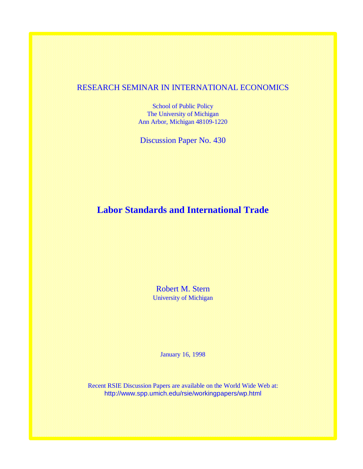## RESEARCH SEMINAR IN INTERNATIONAL ECONOMICS

School of Public Policy The University of Michigan Ann Arbor, Michigan 48109-1220

Discussion Paper No. 430

# **Labor Standards and International Trade**

Robert M. Stern University of Michigan

January 16, 1998

Recent RSIE Discussion Papers are available on the World Wide Web at: http://www.spp.umich.edu/rsie/workingpapers/wp.html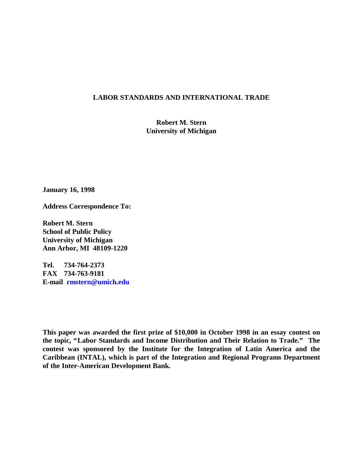## **LABOR STANDARDS AND INTERNATIONAL TRADE**

**Robert M. Stern University of Michigan**

**January 16, 1998**

**Address Correspondence To:**

**Robert M. Stern School of Public Policy University of Michigan Ann Arbor, MI 48109-1220**

**Tel. 734-764-2373 FAX 734-763-9181 E-mail rmstern@umich.edu**

**This paper was awarded the first prize of \$10,000 in October 1998 in an essay contest on the topic, "Labor Standards and Income Distribution and Their Relation to Trade." The contest was sponsored by the Institute for the Integration of Latin America and the Caribbean (INTAL), which is part of the Integration and Regional Programs Department of the Inter-American Development Bank.**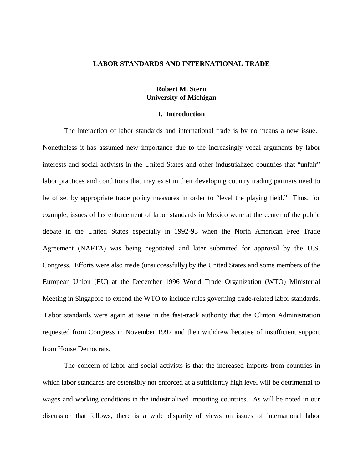#### **LABOR STANDARDS AND INTERNATIONAL TRADE**

## **Robert M. Stern University of Michigan**

## **I. Introduction**

The interaction of labor standards and international trade is by no means a new issue. Nonetheless it has assumed new importance due to the increasingly vocal arguments by labor interests and social activists in the United States and other industrialized countries that "unfair" labor practices and conditions that may exist in their developing country trading partners need to be offset by appropriate trade policy measures in order to "level the playing field." Thus, for example, issues of lax enforcement of labor standards in Mexico were at the center of the public debate in the United States especially in 1992-93 when the North American Free Trade Agreement (NAFTA) was being negotiated and later submitted for approval by the U.S. Congress. Efforts were also made (unsuccessfully) by the United States and some members of the European Union (EU) at the December 1996 World Trade Organization (WTO) Ministerial Meeting in Singapore to extend the WTO to include rules governing trade-related labor standards. Labor standards were again at issue in the fast-track authority that the Clinton Administration requested from Congress in November 1997 and then withdrew because of insufficient support from House Democrats.

The concern of labor and social activists is that the increased imports from countries in which labor standards are ostensibly not enforced at a sufficiently high level will be detrimental to wages and working conditions in the industrialized importing countries. As will be noted in our discussion that follows, there is a wide disparity of views on issues of international labor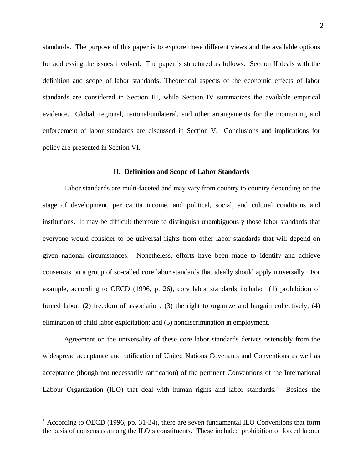standards. The purpose of this paper is to explore these different views and the available options for addressing the issues involved. The paper is structured as follows. Section II deals with the definition and scope of labor standards. Theoretical aspects of the economic effects of labor standards are considered in Section III, while Section IV summarizes the available empirical evidence. Global, regional, national/unilateral, and other arrangements for the monitoring and enforcement of labor standards are discussed in Section V. Conclusions and implications for policy are presented in Section VI.

#### **II. Definition and Scope of Labor Standards**

Labor standards are multi-faceted and may vary from country to country depending on the stage of development, per capita income, and political, social, and cultural conditions and institutions. It may be difficult therefore to distinguish unambiguously those labor standards that everyone would consider to be universal rights from other labor standards that will depend on given national circumstances. Nonetheless, efforts have been made to identify and achieve consensus on a group of so-called core labor standards that ideally should apply universally. For example, according to OECD (1996, p. 26), core labor standards include: (1) prohibition of forced labor; (2) freedom of association; (3) the right to organize and bargain collectively; (4) elimination of child labor exploitation; and (5) nondiscrimination in employment.

Agreement on the universality of these core labor standards derives ostensibly from the widespread acceptance and ratification of United Nations Covenants and Conventions as well as acceptance (though not necessarily ratification) of the pertinent Conventions of the International Labour Organization (ILO) that deal with human rights and labor standards.<sup>1</sup> Besides the

 $1$  According to OECD (1996, pp. 31-34), there are seven fundamental ILO Conventions that form the basis of consensus among the ILO's constituents. These include: prohibition of forced labour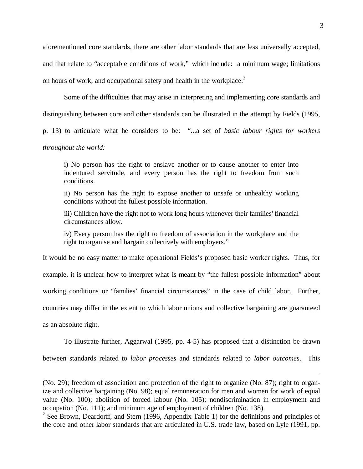aforementioned core standards, there are other labor standards that are less universally accepted, and that relate to "acceptable conditions of work," which include: a minimum wage; limitations on hours of work; and occupational safety and health in the workplace.<sup>2</sup>

Some of the difficulties that may arise in interpreting and implementing core standards and distinguishing between core and other standards can be illustrated in the attempt by Fields (1995,

p. 13) to articulate what he considers to be: "...a set of *basic labour rights for workers*

## *throughout the world:*

 $\overline{a}$ 

i) No person has the right to enslave another or to cause another to enter into indentured servitude, and every person has the right to freedom from such conditions.

ii) No person has the right to expose another to unsafe or unhealthy working conditions without the fullest possible information.

iii) Children have the right not to work long hours whenever their families' financial circumstances allow.

iv) Every person has the right to freedom of association in the workplace and the right to organise and bargain collectively with employers."

It would be no easy matter to make operational Fields's proposed basic worker rights. Thus, for example, it is unclear how to interpret what is meant by "the fullest possible information" about working conditions or "families' financial circumstances" in the case of child labor. Further, countries may differ in the extent to which labor unions and collective bargaining are guaranteed as an absolute right.

To illustrate further, Aggarwal (1995, pp. 4-5) has proposed that a distinction be drawn

between standards related to *labor processes* and standards related to *labor outcomes*. This

<sup>(</sup>No. 29); freedom of association and protection of the right to organize (No. 87); right to organize and collective bargaining (No. 98); equal remuneration for men and women for work of equal value (No. 100); abolition of forced labour (No. 105); nondiscrimination in employment and occupation (No. 111); and minimum age of employment of children (No. 138).

<sup>&</sup>lt;sup>2</sup> See Brown, Deardorff, and Stern (1996, Appendix Table 1) for the definitions and principles of the core and other labor standards that are articulated in U.S. trade law, based on Lyle (1991, pp.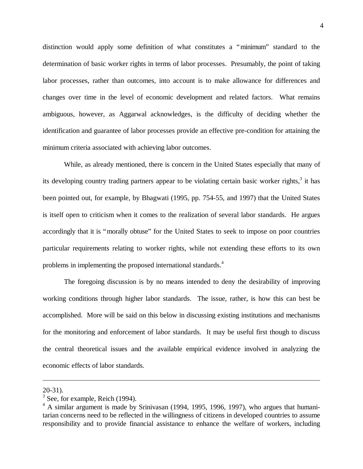distinction would apply some definition of what constitutes a "minimum" standard to the determination of basic worker rights in terms of labor processes. Presumably, the point of taking labor processes, rather than outcomes, into account is to make allowance for differences and changes over time in the level of economic development and related factors. What remains ambiguous, however, as Aggarwal acknowledges, is the difficulty of deciding whether the identification and guarantee of labor processes provide an effective pre-condition for attaining the minimum criteria associated with achieving labor outcomes.

While, as already mentioned, there is concern in the United States especially that many of its developing country trading partners appear to be violating certain basic worker rights,<sup>3</sup> it has been pointed out, for example, by Bhagwati (1995, pp. 754-55, and 1997) that the United States is itself open to criticism when it comes to the realization of several labor standards. He argues accordingly that it is "morally obtuse" for the United States to seek to impose on poor countries particular requirements relating to worker rights, while not extending these efforts to its own problems in implementing the proposed international standards.<sup>4</sup>

The foregoing discussion is by no means intended to deny the desirability of improving working conditions through higher labor standards. The issue, rather, is how this can best be accomplished. More will be said on this below in discussing existing institutions and mechanisms for the monitoring and enforcement of labor standards. It may be useful first though to discuss the central theoretical issues and the available empirical evidence involved in analyzing the economic effects of labor standards.

1

<sup>20-31).</sup>

<sup>&</sup>lt;sup>3</sup> See, for example, Reich (1994).

 $4$  A similar argument is made by Srinivasan (1994, 1995, 1996, 1997), who argues that humanitarian concerns need to be reflected in the willingness of citizens in developed countries to assume responsibility and to provide financial assistance to enhance the welfare of workers, including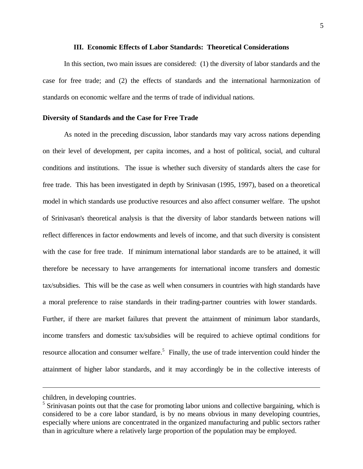#### **III. Economic Effects of Labor Standards: Theoretical Considerations**

In this section, two main issues are considered: (1) the diversity of labor standards and the case for free trade; and (2) the effects of standards and the international harmonization of standards on economic welfare and the terms of trade of individual nations.

## **Diversity of Standards and the Case for Free Trade**

As noted in the preceding discussion, labor standards may vary across nations depending on their level of development, per capita incomes, and a host of political, social, and cultural conditions and institutions. The issue is whether such diversity of standards alters the case for free trade. This has been investigated in depth by Srinivasan (1995, 1997), based on a theoretical model in which standards use productive resources and also affect consumer welfare. The upshot of Srinivasan's theoretical analysis is that the diversity of labor standards between nations will reflect differences in factor endowments and levels of income, and that such diversity is consistent with the case for free trade. If minimum international labor standards are to be attained, it will therefore be necessary to have arrangements for international income transfers and domestic tax/subsidies. This will be the case as well when consumers in countries with high standards have a moral preference to raise standards in their trading-partner countries with lower standards. Further, if there are market failures that prevent the attainment of minimum labor standards, income transfers and domestic tax/subsidies will be required to achieve optimal conditions for resource allocation and consumer welfare.<sup>5</sup> Finally, the use of trade intervention could hinder the attainment of higher labor standards, and it may accordingly be in the collective interests of

1

children, in developing countries.

<sup>&</sup>lt;sup>5</sup> Srinivasan points out that the case for promoting labor unions and collective bargaining, which is considered to be a core labor standard, is by no means obvious in many developing countries, especially where unions are concentrated in the organized manufacturing and public sectors rather than in agriculture where a relatively large proportion of the population may be employed.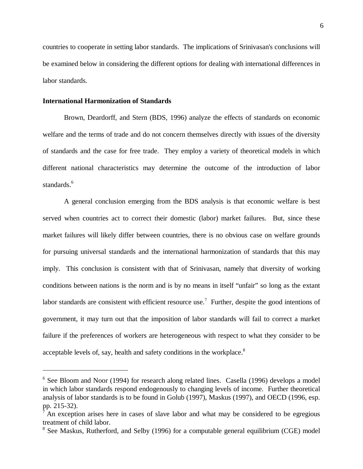countries to cooperate in setting labor standards. The implications of Srinivasan's conclusions will be examined below in considering the different options for dealing with international differences in labor standards.

## **International Harmonization of Standards**

-

Brown, Deardorff, and Stern (BDS, 1996) analyze the effects of standards on economic welfare and the terms of trade and do not concern themselves directly with issues of the diversity of standards and the case for free trade. They employ a variety of theoretical models in which different national characteristics may determine the outcome of the introduction of labor standards.<sup>6</sup>

A general conclusion emerging from the BDS analysis is that economic welfare is best served when countries act to correct their domestic (labor) market failures. But, since these market failures will likely differ between countries, there is no obvious case on welfare grounds for pursuing universal standards and the international harmonization of standards that this may imply. This conclusion is consistent with that of Srinivasan, namely that diversity of working conditions between nations is the norm and is by no means in itself "unfair" so long as the extant labor standards are consistent with efficient resource use.<sup>7</sup> Further, despite the good intentions of government, it may turn out that the imposition of labor standards will fail to correct a market failure if the preferences of workers are heterogeneous with respect to what they consider to be acceptable levels of, say, health and safety conditions in the workplace.<sup>8</sup>

<sup>&</sup>lt;sup>6</sup> See Bloom and Noor (1994) for research along related lines. Casella (1996) develops a model in which labor standards respond endogenously to changing levels of income. Further theoretical analysis of labor standards is to be found in Golub (1997), Maskus (1997), and OECD (1996, esp. pp. 215-32).

<sup>7</sup> An exception arises here in cases of slave labor and what may be considered to be egregious treatment of child labor.

<sup>&</sup>lt;sup>8</sup> See Maskus, Rutherford, and Selby (1996) for a computable general equilibrium (CGE) model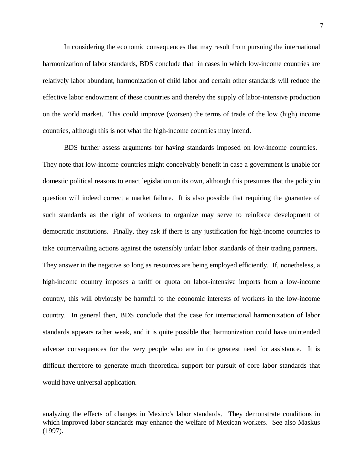In considering the economic consequences that may result from pursuing the international harmonization of labor standards, BDS conclude that in cases in which low-income countries are relatively labor abundant, harmonization of child labor and certain other standards will reduce the effective labor endowment of these countries and thereby the supply of labor-intensive production on the world market. This could improve (worsen) the terms of trade of the low (high) income countries, although this is not what the high-income countries may intend.

BDS further assess arguments for having standards imposed on low-income countries. They note that low-income countries might conceivably benefit in case a government is unable for domestic political reasons to enact legislation on its own, although this presumes that the policy in question will indeed correct a market failure. It is also possible that requiring the guarantee of such standards as the right of workers to organize may serve to reinforce development of democratic institutions. Finally, they ask if there is any justification for high-income countries to take countervailing actions against the ostensibly unfair labor standards of their trading partners. They answer in the negative so long as resources are being employed efficiently. If, nonetheless, a high-income country imposes a tariff or quota on labor-intensive imports from a low-income country, this will obviously be harmful to the economic interests of workers in the low-income country. In general then, BDS conclude that the case for international harmonization of labor standards appears rather weak, and it is quite possible that harmonization could have unintended adverse consequences for the very people who are in the greatest need for assistance. It is difficult therefore to generate much theoretical support for pursuit of core labor standards that would have universal application.

analyzing the effects of changes in Mexico's labor standards. They demonstrate conditions in which improved labor standards may enhance the welfare of Mexican workers. See also Maskus (1997).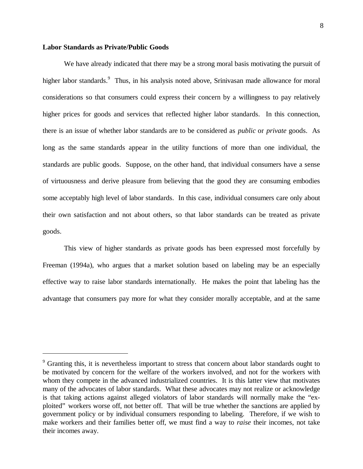## **Labor Standards as Private/Public Goods**

 $\overline{a}$ 

We have already indicated that there may be a strong moral basis motivating the pursuit of higher labor standards.<sup>9</sup> Thus, in his analysis noted above, Srinivasan made allowance for moral considerations so that consumers could express their concern by a willingness to pay relatively higher prices for goods and services that reflected higher labor standards. In this connection, there is an issue of whether labor standards are to be considered as *public* or *private* goods. As long as the same standards appear in the utility functions of more than one individual, the standards are public goods. Suppose, on the other hand, that individual consumers have a sense of virtuousness and derive pleasure from believing that the good they are consuming embodies some acceptably high level of labor standards. In this case, individual consumers care only about their own satisfaction and not about others, so that labor standards can be treated as private goods.

This view of higher standards as private goods has been expressed most forcefully by Freeman (1994a), who argues that a market solution based on labeling may be an especially effective way to raise labor standards internationally. He makes the point that labeling has the advantage that consumers pay more for what they consider morally acceptable, and at the same

<sup>&</sup>lt;sup>9</sup> Granting this, it is nevertheless important to stress that concern about labor standards ought to be motivated by concern for the welfare of the workers involved, and not for the workers with whom they compete in the advanced industrialized countries. It is this latter view that motivates many of the advocates of labor standards. What these advocates may not realize or acknowledge is that taking actions against alleged violators of labor standards will normally make the "exploited" workers worse off, not better off. That will be true whether the sanctions are applied by government policy or by individual consumers responding to labeling. Therefore, if we wish to make workers and their families better off, we must find a way to *raise* their incomes, not take their incomes away.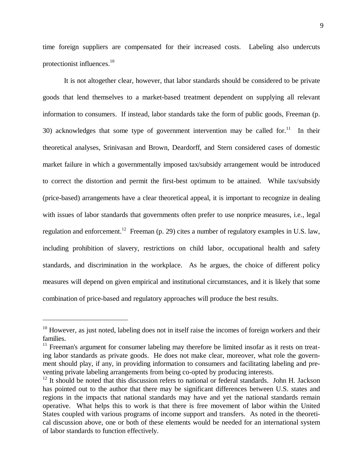time foreign suppliers are compensated for their increased costs. Labeling also undercuts protectionist influences.<sup>10</sup>

It is not altogether clear, however, that labor standards should be considered to be private goods that lend themselves to a market-based treatment dependent on supplying all relevant information to consumers. If instead, labor standards take the form of public goods, Freeman (p. 30) acknowledges that some type of government intervention may be called for.<sup>11</sup> In their theoretical analyses, Srinivasan and Brown, Deardorff, and Stern considered cases of domestic market failure in which a governmentally imposed tax/subsidy arrangement would be introduced to correct the distortion and permit the first-best optimum to be attained. While tax/subsidy (price-based) arrangements have a clear theoretical appeal, it is important to recognize in dealing with issues of labor standards that governments often prefer to use nonprice measures, i.e., legal regulation and enforcement.<sup>12</sup> Freeman (p. 29) cites a number of regulatory examples in U.S. law, including prohibition of slavery, restrictions on child labor, occupational health and safety standards, and discrimination in the workplace. As he argues, the choice of different policy measures will depend on given empirical and institutional circumstances, and it is likely that some combination of price-based and regulatory approaches will produce the best results.

-

 $10$  However, as just noted, labeling does not in itself raise the incomes of foreign workers and their families.

<sup>&</sup>lt;sup>11</sup> Freeman's argument for consumer labeling may therefore be limited insofar as it rests on treating labor standards as private goods. He does not make clear, moreover, what role the government should play, if any, in providing information to consumers and facilitating labeling and preventing private labeling arrangements from being co-opted by producing interests.

 $12$  It should be noted that this discussion refers to national or federal standards. John H. Jackson has pointed out to the author that there may be significant differences between U.S. states and regions in the impacts that national standards may have and yet the national standards remain operative. What helps this to work is that there is free movement of labor within the United States coupled with various programs of income support and transfers. As noted in the theoretical discussion above, one or both of these elements would be needed for an international system of labor standards to function effectively.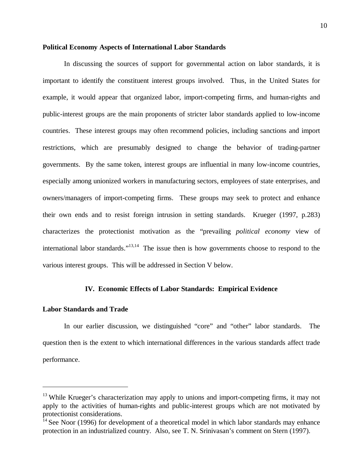## **Political Economy Aspects of International Labor Standards**

In discussing the sources of support for governmental action on labor standards, it is important to identify the constituent interest groups involved. Thus, in the United States for example, it would appear that organized labor, import-competing firms, and human-rights and public-interest groups are the main proponents of stricter labor standards applied to low-income countries. These interest groups may often recommend policies, including sanctions and import restrictions, which are presumably designed to change the behavior of trading-partner governments. By the same token, interest groups are influential in many low-income countries, especially among unionized workers in manufacturing sectors, employees of state enterprises, and owners/managers of import-competing firms. These groups may seek to protect and enhance their own ends and to resist foreign intrusion in setting standards. Krueger (1997, p.283) characterizes the protectionist motivation as the "prevailing *political economy* view of international labor standards." $13,14$  The issue then is how governments choose to respond to the various interest groups. This will be addressed in Section V below.

#### **IV. Economic Effects of Labor Standards: Empirical Evidence**

## **Labor Standards and Trade**

-

In our earlier discussion, we distinguished "core" and "other" labor standards. The question then is the extent to which international differences in the various standards affect trade performance.

<sup>&</sup>lt;sup>13</sup> While Krueger's characterization may apply to unions and import-competing firms, it may not apply to the activities of human-rights and public-interest groups which are not motivated by protectionist considerations.

<sup>&</sup>lt;sup>14</sup> See Noor (1996) for development of a theoretical model in which labor standards may enhance protection in an industrialized country. Also, see T. N. Srinivasan's comment on Stern (1997).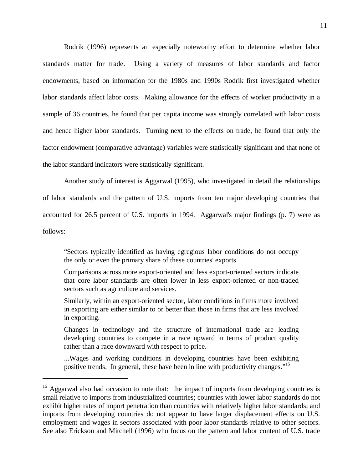Rodrik (1996) represents an especially noteworthy effort to determine whether labor standards matter for trade. Using a variety of measures of labor standards and factor endowments, based on information for the 1980s and 1990s Rodrik first investigated whether labor standards affect labor costs. Making allowance for the effects of worker productivity in a sample of 36 countries, he found that per capita income was strongly correlated with labor costs and hence higher labor standards. Turning next to the effects on trade, he found that only the factor endowment (comparative advantage) variables were statistically significant and that none of the labor standard indicators were statistically significant.

Another study of interest is Aggarwal (1995), who investigated in detail the relationships of labor standards and the pattern of U.S. imports from ten major developing countries that accounted for 26.5 percent of U.S. imports in 1994. Aggarwal's major findings (p. 7) were as follows:

"Sectors typically identified as having egregious labor conditions do not occupy the only or even the primary share of these countries' exports.

Comparisons across more export-oriented and less export-oriented sectors indicate that core labor standards are often lower in less export-oriented or non-traded sectors such as agriculture and services.

Similarly, within an export-oriented sector, labor conditions in firms more involved in exporting are either similar to or better than those in firms that are less involved in exporting.

Changes in technology and the structure of international trade are leading developing countries to compete in a race upward in terms of product quality rather than a race downward with respect to price.

...Wages and working conditions in developing countries have been exhibiting positive trends. In general, these have been in line with productivity changes."<sup>15</sup>

<sup>&</sup>lt;sup>15</sup> Aggarwal also had occasion to note that: the impact of imports from developing countries is small relative to imports from industrialized countries; countries with lower labor standards do not exhibit higher rates of import penetration than countries with relatively higher labor standards; and imports from developing countries do not appear to have larger displacement effects on U.S. employment and wages in sectors associated with poor labor standards relative to other sectors. See also Erickson and Mitchell (1996) who focus on the pattern and labor content of U.S. trade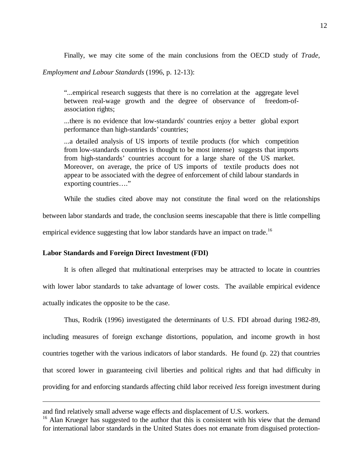Finally, we may cite some of the main conclusions from the OECD study of *Trade,*

*Employment and Labour Standards* (1996, p. 12-13):

"...empirical research suggests that there is no correlation at the aggregate level between real-wage growth and the degree of observance of freedom-ofassociation rights;

...there is no evidence that low-standards' countries enjoy a better global export performance than high-standards' countries;

...a detailed analysis of US imports of textile products (for which competition from low-standards countries is thought to be most intense) suggests that imports from high-standards' countries account for a large share of the US market. Moreover, on average, the price of US imports of textile products does not appear to be associated with the degree of enforcement of child labour standards in exporting countries...."

While the studies cited above may not constitute the final word on the relationships

between labor standards and trade, the conclusion seems inescapable that there is little compelling

empirical evidence suggesting that low labor standards have an impact on trade.<sup>16</sup>

#### **Labor Standards and Foreign Direct Investment (FDI)**

 $\overline{a}$ 

It is often alleged that multinational enterprises may be attracted to locate in countries with lower labor standards to take advantage of lower costs. The available empirical evidence actually indicates the opposite to be the case.

Thus, Rodrik (1996) investigated the determinants of U.S. FDI abroad during 1982-89, including measures of foreign exchange distortions, population, and income growth in host countries together with the various indicators of labor standards. He found (p. 22) that countries that scored lower in guaranteeing civil liberties and political rights and that had difficulty in providing for and enforcing standards affecting child labor received *less* foreign investment during

and find relatively small adverse wage effects and displacement of U.S. workers.

<sup>&</sup>lt;sup>16</sup> Alan Krueger has suggested to the author that this is consistent with his view that the demand for international labor standards in the United States does not emanate from disguised protection-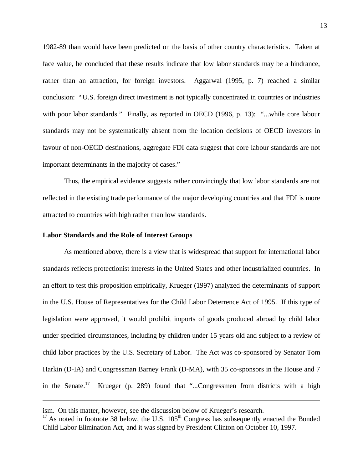1982-89 than would have been predicted on the basis of other country characteristics. Taken at face value, he concluded that these results indicate that low labor standards may be a hindrance, rather than an attraction, for foreign investors. Aggarwal (1995, p. 7) reached a similar conclusion: "U.S. foreign direct investment is not typically concentrated in countries or industries with poor labor standards." Finally, as reported in OECD (1996, p. 13): "...while core labour standards may not be systematically absent from the location decisions of OECD investors in favour of non-OECD destinations, aggregate FDI data suggest that core labour standards are not important determinants in the majority of cases."

Thus, the empirical evidence suggests rather convincingly that low labor standards are not reflected in the existing trade performance of the major developing countries and that FDI is more attracted to countries with high rather than low standards.

### **Labor Standards and the Role of Interest Groups**

 $\overline{a}$ 

As mentioned above, there is a view that is widespread that support for international labor standards reflects protectionist interests in the United States and other industrialized countries. In an effort to test this proposition empirically, Krueger (1997) analyzed the determinants of support in the U.S. House of Representatives for the Child Labor Deterrence Act of 1995. If this type of legislation were approved, it would prohibit imports of goods produced abroad by child labor under specified circumstances, including by children under 15 years old and subject to a review of child labor practices by the U.S. Secretary of Labor. The Act was co-sponsored by Senator Tom Harkin (D-IA) and Congressman Barney Frank (D-MA), with 35 co-sponsors in the House and 7 in the Senate.<sup>17</sup> Krueger (p. 289) found that "...Congressmen from districts with a high

ism. On this matter, however, see the discussion below of Krueger's research.

 $17$  As noted in footnote 38 below, the U.S.  $105<sup>th</sup>$  Congress has subsequently enacted the Bonded Child Labor Elimination Act, and it was signed by President Clinton on October 10, 1997.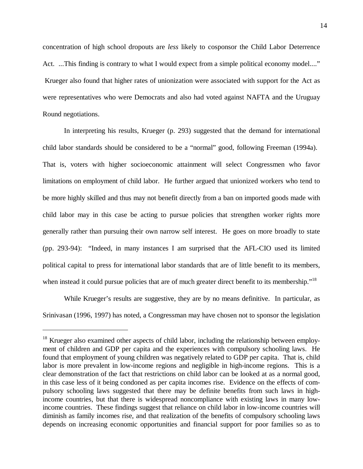concentration of high school dropouts are *less* likely to cosponsor the Child Labor Deterrence Act. ...This finding is contrary to what I would expect from a simple political economy model...." Krueger also found that higher rates of unionization were associated with support for the Act as were representatives who were Democrats and also had voted against NAFTA and the Uruguay Round negotiations.

In interpreting his results, Krueger (p. 293) suggested that the demand for international child labor standards should be considered to be a "normal" good, following Freeman (1994a). That is, voters with higher socioeconomic attainment will select Congressmen who favor limitations on employment of child labor. He further argued that unionized workers who tend to be more highly skilled and thus may not benefit directly from a ban on imported goods made with child labor may in this case be acting to pursue policies that strengthen worker rights more generally rather than pursuing their own narrow self interest. He goes on more broadly to state (pp. 293-94): "Indeed, in many instances I am surprised that the AFL-CIO used its limited political capital to press for international labor standards that are of little benefit to its members, when instead it could pursue policies that are of much greater direct benefit to its membership."<sup>18</sup>

While Krueger's results are suggestive, they are by no means definitive. In particular, as Srinivasan (1996, 1997) has noted, a Congressman may have chosen not to sponsor the legislation

<sup>&</sup>lt;sup>18</sup> Krueger also examined other aspects of child labor, including the relationship between employment of children and GDP per capita and the experiences with compulsory schooling laws. He found that employment of young children was negatively related to GDP per capita. That is, child labor is more prevalent in low-income regions and negligible in high-income regions. This is a clear demonstration of the fact that restrictions on child labor can be looked at as a normal good, in this case less of it being condoned as per capita incomes rise. Evidence on the effects of compulsory schooling laws suggested that there may be definite benefits from such laws in highincome countries, but that there is widespread noncompliance with existing laws in many lowincome countries. These findings suggest that reliance on child labor in low-income countries will diminish as family incomes rise, and that realization of the benefits of compulsory schooling laws depends on increasing economic opportunities and financial support for poor families so as to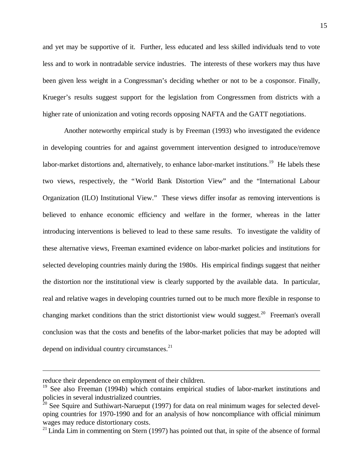and yet may be supportive of it. Further, less educated and less skilled individuals tend to vote less and to work in nontradable service industries. The interests of these workers may thus have been given less weight in a Congressman's deciding whether or not to be a cosponsor. Finally, Krueger's results suggest support for the legislation from Congressmen from districts with a higher rate of unionization and voting records opposing NAFTA and the GATT negotiations.

Another noteworthy empirical study is by Freeman (1993) who investigated the evidence in developing countries for and against government intervention designed to introduce/remove labor-market distortions and, alternatively, to enhance labor-market institutions.<sup>19</sup> He labels these two views, respectively, the "World Bank Distortion View" and the "International Labour Organization (ILO) Institutional View." These views differ insofar as removing interventions is believed to enhance economic efficiency and welfare in the former, whereas in the latter introducing interventions is believed to lead to these same results. To investigate the validity of these alternative views, Freeman examined evidence on labor-market policies and institutions for selected developing countries mainly during the 1980s. His empirical findings suggest that neither the distortion nor the institutional view is clearly supported by the available data. In particular, real and relative wages in developing countries turned out to be much more flexible in response to changing market conditions than the strict distortionist view would suggest.<sup>20</sup> Freeman's overall conclusion was that the costs and benefits of the labor-market policies that may be adopted will depend on individual country circumstances. $21$ 

-

reduce their dependence on employment of their children.

<sup>&</sup>lt;sup>19</sup> See also Freeman (1994b) which contains empirical studies of labor-market institutions and policies in several industrialized countries.

 $20^{\text{20}}$  See Squire and Suthiwart-Narueput (1997) for data on real minimum wages for selected developing countries for 1970-1990 and for an analysis of how noncompliance with official minimum wages may reduce distortionary costs.

 $^{21}$  Linda Lim in commenting on Stern (1997) has pointed out that, in spite of the absence of formal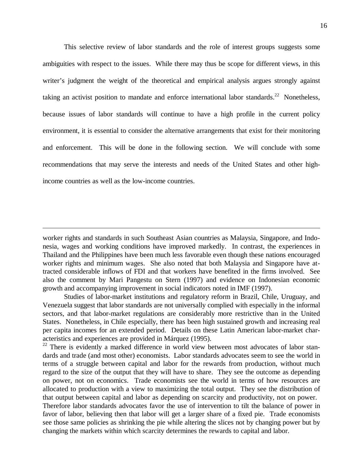This selective review of labor standards and the role of interest groups suggests some ambiguities with respect to the issues. While there may thus be scope for different views, in this writer's judgment the weight of the theoretical and empirical analysis argues strongly against taking an activist position to mandate and enforce international labor standards.<sup>22</sup> Nonetheless, because issues of labor standards will continue to have a high profile in the current policy environment, it is essential to consider the alternative arrangements that exist for their monitoring and enforcement. This will be done in the following section. We will conclude with some recommendations that may serve the interests and needs of the United States and other highincome countries as well as the low-income countries.

worker rights and standards in such Southeast Asian countries as Malaysia, Singapore, and Indonesia, wages and working conditions have improved markedly. In contrast, the experiences in Thailand and the Philippines have been much less favorable even though these nations encouraged worker rights and minimum wages. She also noted that both Malaysia and Singapore have attracted considerable inflows of FDI and that workers have benefited in the firms involved. See also the comment by Mari Pangestu on Stern (1997) and evidence on Indonesian economic growth and accompanying improvement in social indicators noted in IMF (1997).

Studies of labor-market institutions and regulatory reform in Brazil, Chile, Uruguay, and Venezuela suggest that labor standards are not universally complied with especially in the informal sectors, and that labor-market regulations are considerably more restrictive than in the United States. Nonetheless, in Chile especially, there has been high sustained growth and increasing real per capita incomes for an extended period. Details on these Latin American labor-market characteristics and experiences are provided in Márquez (1995).

 $22$  There is evidently a marked difference in world view between most advocates of labor standards and trade (and most other) economists. Labor standards advocates seem to see the world in terms of a struggle between capital and labor for the rewards from production, without much regard to the size of the output that they will have to share. They see the outcome as depending on power, not on economics. Trade economists see the world in terms of how resources are allocated to production with a view to maximizing the total output. They see the distribution of that output between capital and labor as depending on scarcity and productivity, not on power. Therefore labor standards advocates favor the use of intervention to tilt the balance of power in

favor of labor, believing then that labor will get a larger share of a fixed pie. Trade economists see those same policies as shrinking the pie while altering the slices not by changing power but by changing the markets within which scarcity determines the rewards to capital and labor.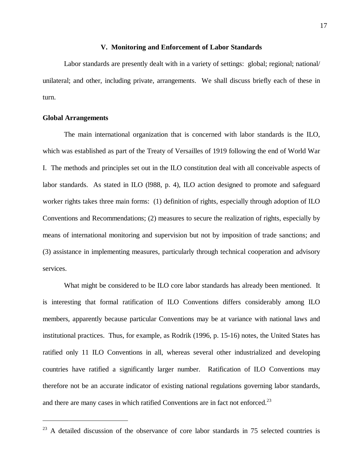#### **V. Monitoring and Enforcement of Labor Standards**

Labor standards are presently dealt with in a variety of settings: global; regional; national unilateral; and other, including private, arrangements. We shall discuss briefly each of these in turn.

## **Global Arrangements**

 $\overline{a}$ 

The main international organization that is concerned with labor standards is the ILO, which was established as part of the Treaty of Versailles of 1919 following the end of World War I. The methods and principles set out in the ILO constitution deal with all conceivable aspects of labor standards. As stated in ILO (l988, p. 4), ILO action designed to promote and safeguard worker rights takes three main forms: (1) definition of rights, especially through adoption of ILO Conventions and Recommendations; (2) measures to secure the realization of rights, especially by means of international monitoring and supervision but not by imposition of trade sanctions; and (3) assistance in implementing measures, particularly through technical cooperation and advisory services.

What might be considered to be ILO core labor standards has already been mentioned. It is interesting that formal ratification of ILO Conventions differs considerably among ILO members, apparently because particular Conventions may be at variance with national laws and institutional practices. Thus, for example, as Rodrik (1996, p. 15-16) notes, the United States has ratified only 11 ILO Conventions in all, whereas several other industrialized and developing countries have ratified a significantly larger number. Ratification of ILO Conventions may therefore not be an accurate indicator of existing national regulations governing labor standards, and there are many cases in which ratified Conventions are in fact not enforced.<sup>23</sup>

 $^{23}$  A detailed discussion of the observance of core labor standards in 75 selected countries is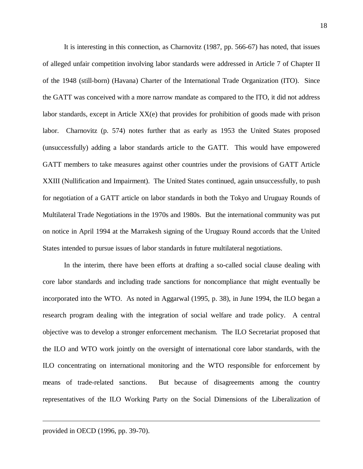It is interesting in this connection, as Charnovitz (1987, pp. 566-67) has noted, that issues of alleged unfair competition involving labor standards were addressed in Article 7 of Chapter II of the 1948 (still-born) (Havana) Charter of the International Trade Organization (ITO). Since the GATT was conceived with a more narrow mandate as compared to the ITO, it did not address labor standards, except in Article XX(e) that provides for prohibition of goods made with prison labor. Charnovitz (p. 574) notes further that as early as 1953 the United States proposed (unsuccessfully) adding a labor standards article to the GATT. This would have empowered GATT members to take measures against other countries under the provisions of GATT Article XXIII (Nullification and Impairment). The United States continued, again unsuccessfully, to push for negotiation of a GATT article on labor standards in both the Tokyo and Uruguay Rounds of Multilateral Trade Negotiations in the 1970s and 1980s. But the international community was put on notice in April 1994 at the Marrakesh signing of the Uruguay Round accords that the United States intended to pursue issues of labor standards in future multilateral negotiations.

In the interim, there have been efforts at drafting a so-called social clause dealing with core labor standards and including trade sanctions for noncompliance that might eventually be incorporated into the WTO. As noted in Aggarwal (1995, p. 38), in June 1994, the ILO began a research program dealing with the integration of social welfare and trade policy. A central objective was to develop a stronger enforcement mechanism. The ILO Secretariat proposed that the ILO and WTO work jointly on the oversight of international core labor standards, with the ILO concentrating on international monitoring and the WTO responsible for enforcement by means of trade-related sanctions. But because of disagreements among the country representatives of the ILO Working Party on the Social Dimensions of the Liberalization of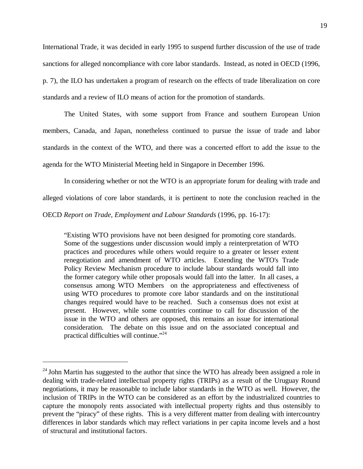International Trade, it was decided in early 1995 to suspend further discussion of the use of trade sanctions for alleged noncompliance with core labor standards. Instead, as noted in OECD (1996, p. 7), the ILO has undertaken a program of research on the effects of trade liberalization on core standards and a review of ILO means of action for the promotion of standards.

The United States, with some support from France and southern European Union members, Canada, and Japan, nonetheless continued to pursue the issue of trade and labor standards in the context of the WTO, and there was a concerted effort to add the issue to the agenda for the WTO Ministerial Meeting held in Singapore in December 1996.

In considering whether or not the WTO is an appropriate forum for dealing with trade and alleged violations of core labor standards, it is pertinent to note the conclusion reached in the

OECD *Report on Trade, Employment and Labour Standards* (1996, pp. 16-17):

 $\overline{a}$ 

"Existing WTO provisions have not been designed for promoting core standards. Some of the suggestions under discussion would imply a reinterpretation of WTO practices and procedures while others would require to a greater or lesser extent renegotiation and amendment of WTO articles. Extending the WTO's Trade Policy Review Mechanism procedure to include labour standards would fall into the former category while other proposals would fall into the latter. In all cases, a consensus among WTO Members on the appropriateness and effectiveness of using WTO procedures to promote core labor standards and on the institutional changes required would have to be reached. Such a consensus does not exist at present. However, while some countries continue to call for discussion of the issue in the WTO and others are opposed, this remains an issue for international consideration. The debate on this issue and on the associated conceptual and practical difficulties will continue."<sup>24</sup>

 $24$  John Martin has suggested to the author that since the WTO has already been assigned a role in dealing with trade-related intellectual property rights (TRIPs) as a result of the Uruguay Round negotiations, it may be reasonable to include labor standards in the WTO as well. However, the inclusion of TRIPs in the WTO can be considered as an effort by the industrialized countries to capture the monopoly rents associated with intellectual property rights and thus ostensibly to prevent the "piracy" of these rights. This is a very different matter from dealing with intercountry differences in labor standards which may reflect variations in per capita income levels and a host of structural and institutional factors.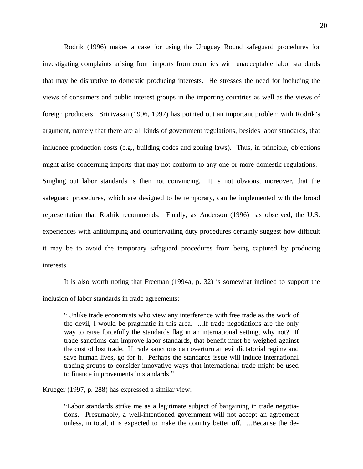Rodrik (1996) makes a case for using the Uruguay Round safeguard procedures for investigating complaints arising from imports from countries with unacceptable labor standards that may be disruptive to domestic producing interests. He stresses the need for including the views of consumers and public interest groups in the importing countries as well as the views of foreign producers. Srinivasan (1996, 1997) has pointed out an important problem with Rodrik's argument, namely that there are all kinds of government regulations, besides labor standards, that influence production costs (e.g., building codes and zoning laws). Thus, in principle, objections might arise concerning imports that may not conform to any one or more domestic regulations. Singling out labor standards is then not convincing. It is not obvious, moreover, that the safeguard procedures, which are designed to be temporary, can be implemented with the broad representation that Rodrik recommends. Finally, as Anderson (1996) has observed, the U.S. experiences with antidumping and countervailing duty procedures certainly suggest how difficult it may be to avoid the temporary safeguard procedures from being captured by producing interests.

It is also worth noting that Freeman (1994a, p. 32) is somewhat inclined to support the inclusion of labor standards in trade agreements:

"Unlike trade economists who view any interference with free trade as the work of the devil, I would be pragmatic in this area. ...If trade negotiations are the only way to raise forcefully the standards flag in an international setting, why not? If trade sanctions can improve labor standards, that benefit must be weighed against the cost of lost trade. If trade sanctions can overturn an evil dictatorial regime and save human lives, go for it. Perhaps the standards issue will induce international trading groups to consider innovative ways that international trade might be used to finance improvements in standards."

Krueger (1997, p. 288) has expressed a similar view:

"Labor standards strike me as a legitimate subject of bargaining in trade negotiations. Presumably, a well-intentioned government will not accept an agreement unless, in total, it is expected to make the country better off. ...Because the de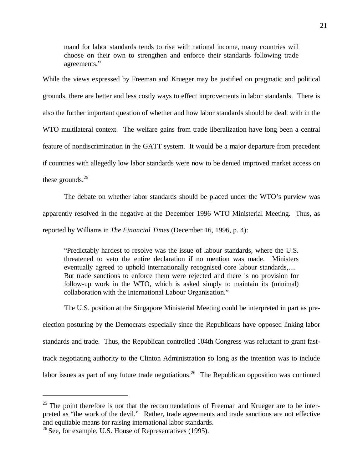mand for labor standards tends to rise with national income, many countries will choose on their own to strengthen and enforce their standards following trade agreements."

While the views expressed by Freeman and Krueger may be justified on pragmatic and political grounds, there are better and less costly ways to effect improvements in labor standards. There is also the further important question of whether and how labor standards should be dealt with in the WTO multilateral context. The welfare gains from trade liberalization have long been a central feature of nondiscrimination in the GATT system. It would be a major departure from precedent if countries with allegedly low labor standards were now to be denied improved market access on these grounds. $^{25}$ 

The debate on whether labor standards should be placed under the WTO's purview was apparently resolved in the negative at the December 1996 WTO Ministerial Meeting. Thus, as reported by Williams in *The Financial Times* (December 16, 1996, p. 4):

"Predictably hardest to resolve was the issue of labour standards, where the U.S. threatened to veto the entire declaration if no mention was made. Ministers eventually agreed to uphold internationally recognised core labour standards,.... But trade sanctions to enforce them were rejected and there is no provision for follow-up work in the WTO, which is asked simply to maintain its (minimal) collaboration with the International Labour Organisation."

The U.S. position at the Singapore Ministerial Meeting could be interpreted in part as preelection posturing by the Democrats especially since the Republicans have opposed linking labor standards and trade. Thus, the Republican controlled 104th Congress was reluctant to grant fasttrack negotiating authority to the Clinton Administration so long as the intention was to include labor issues as part of any future trade negotiations.<sup>26</sup> The Republican opposition was continued

-

 $25$  The point therefore is not that the recommendations of Freeman and Krueger are to be interpreted as "the work of the devil." Rather, trade agreements and trade sanctions are not effective and equitable means for raising international labor standards.

 $26$  See, for example, U.S. House of Representatives (1995).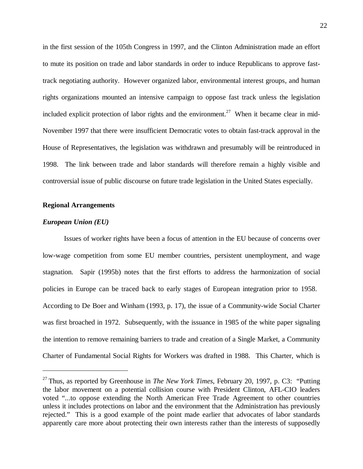in the first session of the 105th Congress in 1997, and the Clinton Administration made an effort to mute its position on trade and labor standards in order to induce Republicans to approve fasttrack negotiating authority. However organized labor, environmental interest groups, and human rights organizations mounted an intensive campaign to oppose fast track unless the legislation included explicit protection of labor rights and the environment.<sup>27</sup> When it became clear in mid-November 1997 that there were insufficient Democratic votes to obtain fast-track approval in the House of Representatives, the legislation was withdrawn and presumably will be reintroduced in 1998. The link between trade and labor standards will therefore remain a highly visible and controversial issue of public discourse on future trade legislation in the United States especially.

## **Regional Arrangements**

## *European Union (EU)*

 $\overline{a}$ 

Issues of worker rights have been a focus of attention in the EU because of concerns over low-wage competition from some EU member countries, persistent unemployment, and wage stagnation. Sapir (1995b) notes that the first efforts to address the harmonization of social policies in Europe can be traced back to early stages of European integration prior to 1958. According to De Boer and Winham (1993, p. 17), the issue of a Community-wide Social Charter was first broached in 1972. Subsequently, with the issuance in 1985 of the white paper signaling the intention to remove remaining barriers to trade and creation of a Single Market, a Community Charter of Fundamental Social Rights for Workers was drafted in 1988. This Charter, which is

<sup>27</sup> Thus, as reported by Greenhouse in *The New York Times*, February 20, 1997, p. C3: "Putting the labor movement on a potential collision course with President Clinton, AFL-CIO leaders voted "...to oppose extending the North American Free Trade Agreement to other countries unless it includes protections on labor and the environment that the Administration has previously rejected." This is a good example of the point made earlier that advocates of labor standards apparently care more about protecting their own interests rather than the interests of supposedly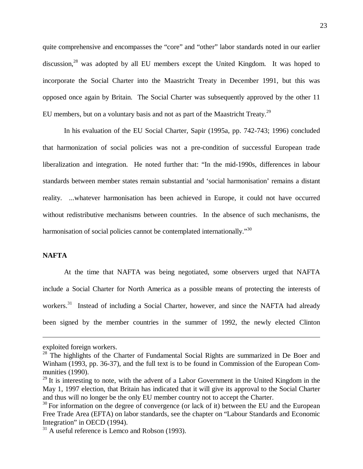quite comprehensive and encompasses the "core" and "other" labor standards noted in our earlier discussion,<sup>28</sup> was adopted by all EU members except the United Kingdom. It was hoped to incorporate the Social Charter into the Maastricht Treaty in December 1991, but this was opposed once again by Britain. The Social Charter was subsequently approved by the other 11 EU members, but on a voluntary basis and not as part of the Maastricht Treaty.<sup>29</sup>

In his evaluation of the EU Social Charter, Sapir (1995a, pp. 742-743; 1996) concluded that harmonization of social policies was not a pre-condition of successful European trade liberalization and integration. He noted further that: "In the mid-1990s, differences in labour standards between member states remain substantial and 'social harmonisation' remains a distant reality. ...whatever harmonisation has been achieved in Europe, it could not have occurred without redistributive mechanisms between countries. In the absence of such mechanisms, the harmonisation of social policies cannot be contemplated internationally."<sup>30</sup>

## **NAFTA**

-

At the time that NAFTA was being negotiated, some observers urged that NAFTA include a Social Charter for North America as a possible means of protecting the interests of workers.<sup>31</sup> Instead of including a Social Charter, however, and since the NAFTA had already been signed by the member countries in the summer of 1992, the newly elected Clinton

exploited foreign workers.

 $28$  The highlights of the Charter of Fundamental Social Rights are summarized in De Boer and Winham (1993, pp. 36-37), and the full text is to be found in Commission of the European Communities (1990).

 $29$  It is interesting to note, with the advent of a Labor Government in the United Kingdom in the May 1, 1997 election, that Britain has indicated that it will give its approval to the Social Charter and thus will no longer be the only EU member country not to accept the Charter.

 $30$  For information on the degree of convergence (or lack of it) between the EU and the European Free Trade Area (EFTA) on labor standards, see the chapter on "Labour Standards and Economic Integration" in OECD (1994).

 $31$  A useful reference is Lemco and Robson (1993).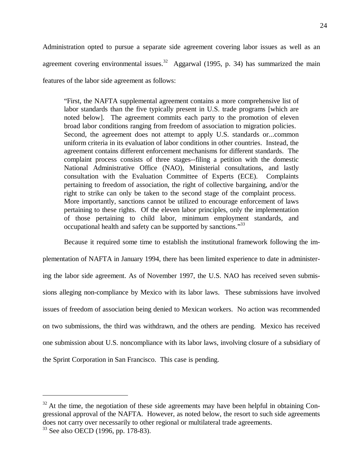Administration opted to pursue a separate side agreement covering labor issues as well as an agreement covering environmental issues.<sup>32</sup> Aggarwal (1995, p. 34) has summarized the main features of the labor side agreement as follows:

"First, the NAFTA supplemental agreement contains a more comprehensive list of labor standards than the five typically present in U.S. trade programs [which are noted below]. The agreement commits each party to the promotion of eleven broad labor conditions ranging from freedom of association to migration policies. Second, the agreement does not attempt to apply U.S. standards or...common uniform criteria in its evaluation of labor conditions in other countries. Instead, the agreement contains different enforcement mechanisms for different standards. The complaint process consists of three stages--filing a petition with the domestic National Administrative Office (NAO), Ministerial consultations, and lastly consultation with the Evaluation Committee of Experts (ECE). Complaints pertaining to freedom of association, the right of collective bargaining, and/or the right to strike can only be taken to the second stage of the complaint process. More importantly, sanctions cannot be utilized to encourage enforcement of laws pertaining to these rights. Of the eleven labor principles, only the implementation of those pertaining to child labor, minimum employment standards, and occupational health and safety can be supported by sanctions."<sup>33</sup>

Because it required some time to establish the institutional framework following the im-

plementation of NAFTA in January 1994, there has been limited experience to date in administering the labor side agreement. As of November 1997, the U.S. NAO has received seven submissions alleging non-compliance by Mexico with its labor laws. These submissions have involved issues of freedom of association being denied to Mexican workers. No action was recommended on two submissions, the third was withdrawn, and the others are pending. Mexico has received one submission about U.S. noncompliance with its labor laws, involving closure of a subsidiary of the Sprint Corporation in San Francisco. This case is pending.

 $32$  At the time, the negotiation of these side agreements may have been helpful in obtaining Congressional approval of the NAFTA. However, as noted below, the resort to such side agreements does not carry over necessarily to other regional or multilateral trade agreements.

 $33$  See also OECD (1996, pp. 178-83).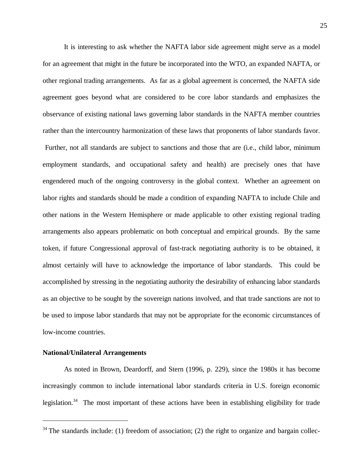It is interesting to ask whether the NAFTA labor side agreement might serve as a model for an agreement that might in the future be incorporated into the WTO, an expanded NAFTA, or other regional trading arrangements. As far as a global agreement is concerned, the NAFTA side agreement goes beyond what are considered to be core labor standards and emphasizes the observance of existing national laws governing labor standards in the NAFTA member countries rather than the intercountry harmonization of these laws that proponents of labor standards favor. Further, not all standards are subject to sanctions and those that are (i.e., child labor, minimum employment standards, and occupational safety and health) are precisely ones that have engendered much of the ongoing controversy in the global context. Whether an agreement on labor rights and standards should be made a condition of expanding NAFTA to include Chile and other nations in the Western Hemisphere or made applicable to other existing regional trading arrangements also appears problematic on both conceptual and empirical grounds. By the same token, if future Congressional approval of fast-track negotiating authority is to be obtained, it almost certainly will have to acknowledge the importance of labor standards. This could be accomplished by stressing in the negotiating authority the desirability of enhancing labor standards as an objective to be sought by the sovereign nations involved, and that trade sanctions are not to be used to impose labor standards that may not be appropriate for the economic circumstances of low-income countries.

### **National/Unilateral Arrangements**

-

As noted in Brown, Deardorff, and Stern (1996, p. 229), since the 1980s it has become increasingly common to include international labor standards criteria in U.S. foreign economic legislation.<sup>34</sup> The most important of these actions have been in establishing eligibility for trade

 $34$  The standards include: (1) freedom of association; (2) the right to organize and bargain collec-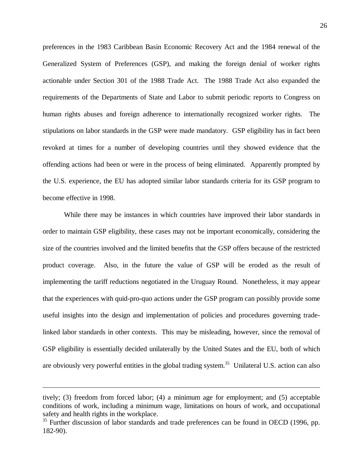preferences in the 1983 Caribbean Basin Economic Recovery Act and the 1984 renewal of the Generalized System of Preferences (GSP), and making the foreign denial of worker rights actionable under Section 301 of the 1988 Trade Act. The 1988 Trade Act also expanded the requirements of the Departments of State and Labor to submit periodic reports to Congress on human rights abuses and foreign adherence to internationally recognized worker rights. The stipulations on labor standards in the GSP were made mandatory. GSP eligibility has in fact been revoked at times for a number of developing countries until they showed evidence that the offending actions had been or were in the process of being eliminated. Apparently prompted by the U.S. experience, the EU has adopted similar labor standards criteria for its GSP program to become effective in 1998.

While there may be instances in which countries have improved their labor standards in order to maintain GSP eligibility, these cases may not be important economically, considering the size of the countries involved and the limited benefits that the GSP offers because of the restricted product coverage. Also, in the future the value of GSP will be eroded as the result of implementing the tariff reductions negotiated in the Uruguay Round. Nonetheless, it may appear that the experiences with quid-pro-quo actions under the GSP program can possibly provide some useful insights into the design and implementation of policies and procedures governing tradelinked labor standards in other contexts. This may be misleading, however, since the removal of GSP eligibility is essentially decided unilaterally by the United States and the EU, both of which are obviously very powerful entities in the global trading system.<sup>35</sup> Unilateral U.S. action can also

tively; (3) freedom from forced labor; (4) a minimum age for employment; and (5) acceptable conditions of work, including a minimum wage, limitations on hours of work, and occupational safety and health rights in the workplace.

 $35$  Further discussion of labor standards and trade preferences can be found in OECD (1996, pp. 182-90).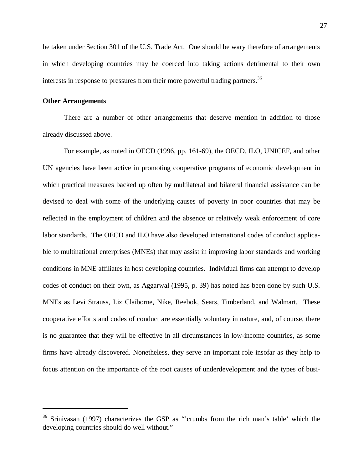be taken under Section 301 of the U.S. Trade Act. One should be wary therefore of arrangements in which developing countries may be coerced into taking actions detrimental to their own interests in response to pressures from their more powerful trading partners.<sup>36</sup>

## **Other Arrangements**

 $\overline{a}$ 

There are a number of other arrangements that deserve mention in addition to those already discussed above.

For example, as noted in OECD (1996, pp. 161-69), the OECD, ILO, UNICEF, and other UN agencies have been active in promoting cooperative programs of economic development in which practical measures backed up often by multilateral and bilateral financial assistance can be devised to deal with some of the underlying causes of poverty in poor countries that may be reflected in the employment of children and the absence or relatively weak enforcement of core labor standards. The OECD and ILO have also developed international codes of conduct applicable to multinational enterprises (MNEs) that may assist in improving labor standards and working conditions in MNE affiliates in host developing countries. Individual firms can attempt to develop codes of conduct on their own, as Aggarwal (1995, p. 39) has noted has been done by such U.S. MNEs as Levi Strauss, Liz Claiborne, Nike, Reebok, Sears, Timberland, and Walmart. These cooperative efforts and codes of conduct are essentially voluntary in nature, and, of course, there is no guarantee that they will be effective in all circumstances in low-income countries, as some firms have already discovered. Nonetheless, they serve an important role insofar as they help to focus attention on the importance of the root causes of underdevelopment and the types of busi-

<sup>&</sup>lt;sup>36</sup> Srinivasan (1997) characterizes the GSP as "crumbs from the rich man's table' which the developing countries should do well without."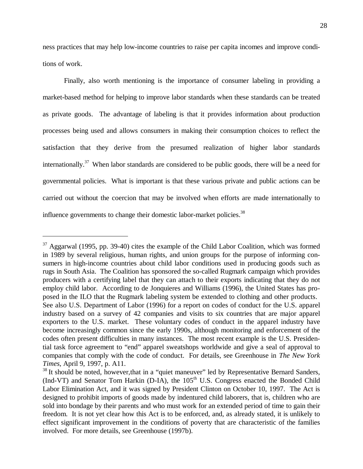ness practices that may help low-income countries to raise per capita incomes and improve conditions of work.

Finally, also worth mentioning is the importance of consumer labeling in providing a market-based method for helping to improve labor standards when these standards can be treated as private goods. The advantage of labeling is that it provides information about production processes being used and allows consumers in making their consumption choices to reflect the satisfaction that they derive from the presumed realization of higher labor standards internationally.<sup>37</sup> When labor standards are considered to be public goods, there will be a need for governmental policies. What is important is that these various private and public actions can be carried out without the coercion that may be involved when efforts are made internationally to influence governments to change their domestic labor-market policies.<sup>38</sup>

 $37$  Aggarwal (1995, pp. 39-40) cites the example of the Child Labor Coalition, which was formed in 1989 by several religious, human rights, and union groups for the purpose of informing consumers in high-income countries about child labor conditions used in producing goods such as rugs in South Asia. The Coalition has sponsored the so-called Rugmark campaign which provides producers with a certifying label that they can attach to their exports indicating that they do not employ child labor. According to de Jonquieres and Williams (1996), the United States has proposed in the ILO that the Rugmark labeling system be extended to clothing and other products. See also U.S. Department of Labor (1996) for a report on codes of conduct for the U.S. apparel industry based on a survey of 42 companies and visits to six countries that are major apparel exporters to the U.S. market. These voluntary codes of conduct in the apparel industry have become increasingly common since the early 1990s, although monitoring and enforcement of the codes often present difficulties in many instances. The most recent example is the U.S. Presidential task force agreement to "end" apparel sweatshops worldwide and give a seal of approval to companies that comply with the code of conduct. For details, see Greenhouse in *The New York Times*, April 9, 1997, p. A11.

<sup>&</sup>lt;sup>38</sup> It should be noted, however, that in a "quiet maneuver" led by Representative Bernard Sanders, (Ind-VT) and Senator Tom Harkin (D-IA), the  $105<sup>th</sup>$  U.S. Congress enacted the Bonded Child Labor Elimination Act, and it was signed by President Clinton on October 10, 1997. The Act is designed to prohibit imports of goods made by indentured child laborers, that is, children who are sold into bondage by their parents and who must work for an extended period of time to gain their freedom. It is not yet clear how this Act is to be enforced, and, as already stated, it is unlikely to effect significant improvement in the conditions of poverty that are characteristic of the families involved. For more details, see Greenhouse (1997b).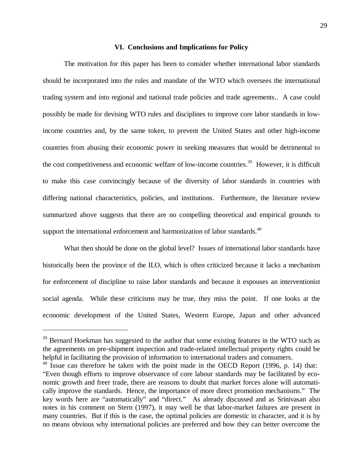## **VI. Conclusions and Implications for Policy**

The motivation for this paper has been to consider whether international labor standards should be incorporated into the rules and mandate of the WTO which oversees the international trading system and into regional and national trade policies and trade agreements.. A case could possibly be made for devising WTO rules and disciplines to improve core labor standards in lowincome countries and, by the same token, to prevent the United States and other high-income countries from abusing their economic power in seeking measures that would be detrimental to the cost competitiveness and economic welfare of low-income countries.<sup>39</sup> However, it is difficult to make this case convincingly because of the diversity of labor standards in countries with differing national characteristics, policies, and institutions. Furthermore, the literature review summarized above suggests that there are no compelling theoretical and empirical grounds to support the international enforcement and harmonization of labor standards.<sup>40</sup>

What then should be done on the global level? Issues of international labor standards have historically been the province of the ILO, which is often criticized because it lacks a mechanism for enforcement of discipline to raise labor standards and because it espouses an interventionist social agenda. While these criticisms may be true, they miss the point. If one looks at the economic development of the United States, Western Europe, Japan and other advanced

<sup>&</sup>lt;sup>39</sup> Bernard Hoekman has suggested to the author that some existing features in the WTO such as the agreements on pre-shipment inspection and trade-related intellectual property rights could be helpful in facilitating the provision of information to international traders and consumers.

 $40$  Issue can therefore be taken with the point made in the OECD Report (1996, p. 14) that: "Even though efforts to improve observance of core labour standards may be facilitated by economic growth and freer trade, there are reasons to doubt that market forces alone will automatically improve the standards. Hence, the importance of more direct promotion mechanisms." The key words here are "automatically" and "direct." As already discussed and as Srinivasan also notes in his comment on Stern (1997), it may well be that labor-market failures are present in many countries. But if this is the case, the optimal policies are domestic in character, and it is by no means obvious why international policies are preferred and how they can better overcome the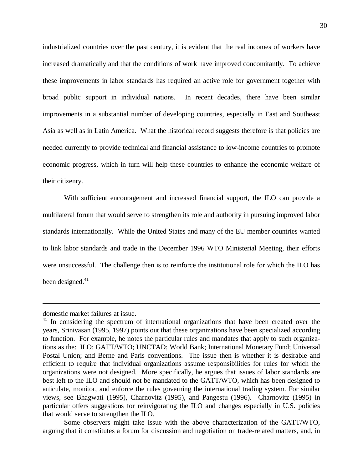industrialized countries over the past century, it is evident that the real incomes of workers have increased dramatically and that the conditions of work have improved concomitantly. To achieve these improvements in labor standards has required an active role for government together with broad public support in individual nations. In recent decades, there have been similar improvements in a substantial number of developing countries, especially in East and Southeast Asia as well as in Latin America. What the historical record suggests therefore is that policies are needed currently to provide technical and financial assistance to low-income countries to promote economic progress, which in turn will help these countries to enhance the economic welfare of their citizenry.

With sufficient encouragement and increased financial support, the ILO can provide a multilateral forum that would serve to strengthen its role and authority in pursuing improved labor standards internationally. While the United States and many of the EU member countries wanted to link labor standards and trade in the December 1996 WTO Ministerial Meeting, their efforts were unsuccessful. The challenge then is to reinforce the institutional role for which the ILO has been designed.<sup>41</sup>

domestic market failures at issue.

<sup>&</sup>lt;sup>41</sup> In considering the spectrum of international organizations that have been created over the years, Srinivasan (1995, 1997) points out that these organizations have been specialized according to function. For example, he notes the particular rules and mandates that apply to such organizations as the: ILO; GATT/WTO; UNCTAD; World Bank; International Monetary Fund; Universal Postal Union; and Berne and Paris conventions. The issue then is whether it is desirable and efficient to require that individual organizations assume responsibilities for rules for which the organizations were not designed. More specifically, he argues that issues of labor standards are best left to the ILO and should not be mandated to the GATT/WTO, which has been designed to articulate, monitor, and enforce the rules governing the international trading system. For similar views, see Bhagwati (1995), Charnovitz (1995), and Pangestu (1996). Charnovitz (1995) in particular offers suggestions for reinvigorating the ILO and changes especially in U.S. policies that would serve to strengthen the ILO.

Some observers might take issue with the above characterization of the GATT/WTO, arguing that it constitutes a forum for discussion and negotiation on trade-related matters, and, in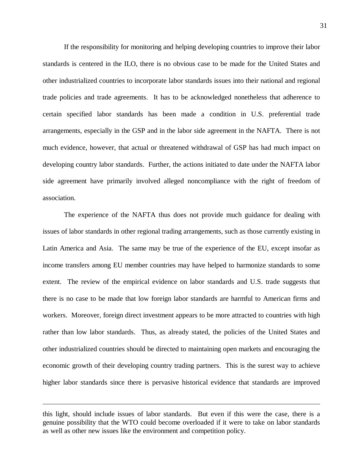If the responsibility for monitoring and helping developing countries to improve their labor standards is centered in the ILO, there is no obvious case to be made for the United States and other industrialized countries to incorporate labor standards issues into their national and regional trade policies and trade agreements. It has to be acknowledged nonetheless that adherence to certain specified labor standards has been made a condition in U.S. preferential trade arrangements, especially in the GSP and in the labor side agreement in the NAFTA. There is not much evidence, however, that actual or threatened withdrawal of GSP has had much impact on developing country labor standards. Further, the actions initiated to date under the NAFTA labor side agreement have primarily involved alleged noncompliance with the right of freedom of association.

The experience of the NAFTA thus does not provide much guidance for dealing with issues of labor standards in other regional trading arrangements, such as those currently existing in Latin America and Asia. The same may be true of the experience of the EU, except insofar as income transfers among EU member countries may have helped to harmonize standards to some extent. The review of the empirical evidence on labor standards and U.S. trade suggests that there is no case to be made that low foreign labor standards are harmful to American firms and workers. Moreover, foreign direct investment appears to be more attracted to countries with high rather than low labor standards. Thus, as already stated, the policies of the United States and other industrialized countries should be directed to maintaining open markets and encouraging the economic growth of their developing country trading partners. This is the surest way to achieve higher labor standards since there is pervasive historical evidence that standards are improved

this light, should include issues of labor standards. But even if this were the case, there is a genuine possibility that the WTO could become overloaded if it were to take on labor standards as well as other new issues like the environment and competition policy.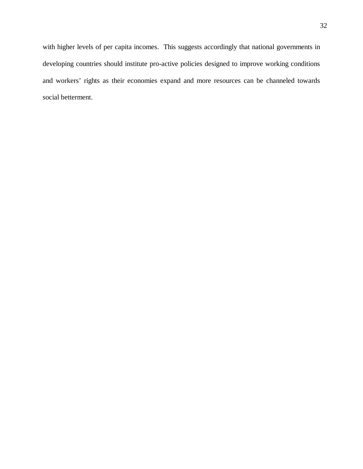with higher levels of per capita incomes. This suggests accordingly that national governments in developing countries should institute pro-active policies designed to improve working conditions and workers' rights as their economies expand and more resources can be channeled towards social betterment.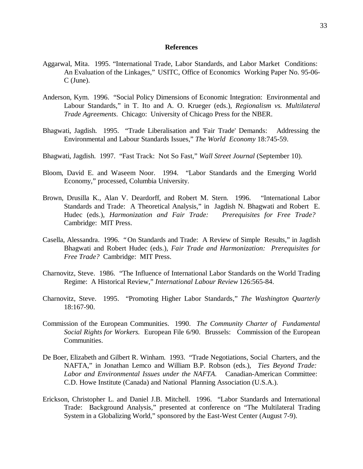## **References**

- Aggarwal, Mita. 1995. "International Trade, Labor Standards, and Labor Market Conditions: An Evaluation of the Linkages," USITC, Office of Economics Working Paper No. 95-06- C (June).
- Anderson, Kym. 1996. "Social Policy Dimensions of Economic Integration: Environmental and Labour Standards," in T. Ito and A. O. Krueger (eds.), *Regionalism vs. Multilateral Trade Agreements*. Chicago: University of Chicago Press for the NBER.
- Bhagwati, Jagdish. 1995. "Trade Liberalisation and 'Fair Trade' Demands: Addressing the Environmental and Labour Standards Issues," *The World Economy* 18:745-59.
- Bhagwati, Jagdish. 1997. "Fast Track: Not So Fast," *Wall Street Journal* (September 10).
- Bloom, David E. and Waseem Noor. 1994. "Labor Standards and the Emerging World Economy," processed, Columbia University.
- Brown, Drusilla K., Alan V. Deardorff, and Robert M. Stern. 1996. "International Labor Standards and Trade: A Theoretical Analysis," in Jagdish N. Bhagwati and Robert E. Hudec (eds.), *Harmonization and Fair Trade: Prerequisites for Free Trade?* Cambridge: MIT Press.
- Casella, Alessandra. 1996. "On Standards and Trade: A Review of Simple Results," in Jagdish Bhagwati and Robert Hudec (eds.), *Fair Trade and Harmonization: Prerequisites for Free Trade?* Cambridge: MIT Press.
- Charnovitz, Steve. 1986. "The Influence of International Labor Standards on the World Trading Regime: A Historical Review," *International Labour Review* 126:565-84.
- Charnovitz, Steve. 1995. "Promoting Higher Labor Standards," *The Washington Quarterly* 18:167-90.
- Commission of the European Communities. 1990. *The Community Charter of Fundamental Social Rights for Workers.* European File 6/90. Brussels: Commission of the European Communities.
- De Boer, Elizabeth and Gilbert R. Winham. 1993. "Trade Negotiations, Social Charters, and the NAFTA," in Jonathan Lemco and William B.P. Robson (eds.), *Ties Beyond Trade: Labor and Environmental Issues under the NAFTA.* Canadian-American Committee: C.D. Howe Institute (Canada) and National Planning Association (U.S.A.).
- Erickson, Christopher L. and Daniel J.B. Mitchell. 1996. "Labor Standards and International Trade: Background Analysis," presented at conference on "The Multilateral Trading System in a Globalizing World," sponsored by the East-West Center (August 7-9).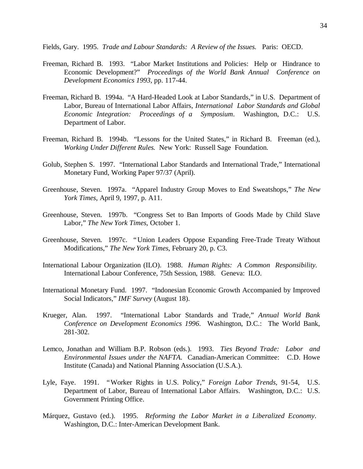Fields, Gary. 1995. *Trade and Labour Standards: A Review of the Issues.* Paris: OECD.

- Freeman, Richard B. 1993. "Labor Market Institutions and Policies: Help or Hindrance to Economic Development?" *Proceedings of the World Bank Annual Conference on Development Economics 1993,* pp. 117-44.
- Freeman, Richard B. 1994a. "A Hard-Headed Look at Labor Standards," in U.S. Department of Labor, Bureau of International Labor Affairs, *International Labor Standards and Global Economic Integration: Proceedings of a Symposium*. Washington, D.C.: U.S. Department of Labor.
- Freeman, Richard B. 1994b. "Lessons for the United States," in Richard B. Freeman (ed.), *Working Under Different Rules.* New York: Russell Sage Foundation.
- Golub, Stephen S. 1997. "International Labor Standards and International Trade," International Monetary Fund, Working Paper 97/37 (April).
- Greenhouse, Steven. 1997a. "Apparel Industry Group Moves to End Sweatshops," *The New York Times*, April 9, 1997, p. A11.
- Greenhouse, Steven. 1997b. "Congress Set to Ban Imports of Goods Made by Child Slave Labor," *The New York Times*, October 1.
- Greenhouse, Steven. 1997c. "Union Leaders Oppose Expanding Free-Trade Treaty Without Modifications," *The New York Times*, February 20, p. C3.
- International Labour Organization (ILO). 1988. *Human Rights: A Common Responsibility.* International Labour Conference, 75th Session, 1988. Geneva: ILO.
- International Monetary Fund. 1997. "Indonesian Economic Growth Accompanied by Improved Social Indicators," *IMF Survey* (August 18).
- Krueger, Alan. 1997. "International Labor Standards and Trade," *Annual World Bank Conference on Development Economics 1996*. Washington, D.C.: The World Bank, 281-302.
- Lemco, Jonathan and William B.P. Robson (eds.). 1993. *Ties Beyond Trade: Labor and Environmental Issues under the NAFTA.* Canadian-American Committee: C.D. Howe Institute (Canada) and National Planning Association (U.S.A.).
- Lyle, Faye. 1991. "Worker Rights in U.S. Policy," *Foreign Labor Trends,* 91-54, U.S. Department of Labor, Bureau of International Labor Affairs. Washington, D.C.: U.S. Government Printing Office.
- Márquez, Gustavo (ed.). 1995. *Reforming the Labor Market in a Liberalized Economy*. Washington, D.C.: Inter-American Development Bank.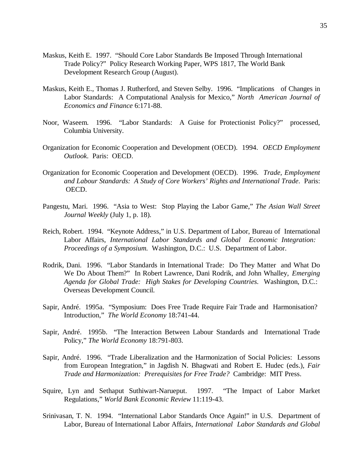- Maskus, Keith E. 1997. "Should Core Labor Standards Be Imposed Through International Trade Policy?" Policy Research Working Paper, WPS 1817, The World Bank Development Research Group (August).
- Maskus, Keith E., Thomas J. Rutherford, and Steven Selby. 1996. "Implications of Changes in Labor Standards: A Computational Analysis for Mexico," *North American Journal of Economics and Finance* 6:171-88.
- Noor, Waseem. 1996. "Labor Standards: A Guise for Protectionist Policy?" processed, Columbia University.
- Organization for Economic Cooperation and Development (OECD). 1994. *OECD Employment Outlook*. Paris: OECD.
- Organization for Economic Cooperation and Development (OECD). 1996. *Trade, Employment and Labour Standards: A Study of Core Workers' Rights and International Trade*. Paris: OECD.
- Pangestu, Mari. 1996. "Asia to West: Stop Playing the Labor Game," *The Asian Wall Street Journal Weekly* (July 1, p. 18).
- Reich, Robert. 1994. "Keynote Address," in U.S. Department of Labor, Bureau of International Labor Affairs, *International Labor Standards and Global Economic Integration: Proceedings of a Symposium.* Washington, D.C.: U.S. Department of Labor.
- Rodrik, Dani. 1996. "Labor Standards in International Trade: Do They Matter and What Do We Do About Them?" In Robert Lawrence, Dani Rodrik, and John Whalley, *Emerging Agenda for Global Trade: High Stakes for Developing Countries*. Washington, D.C.: Overseas Development Council.
- Sapir, André. 1995a. "Symposium: Does Free Trade Require Fair Trade and Harmonisation? Introduction," *The World Economy* 18:741-44.
- Sapir, André. 1995b. "The Interaction Between Labour Standards and International Trade Policy," *The World Economy* 18:791-803.
- Sapir, André. 1996. "Trade Liberalization and the Harmonization of Social Policies: Lessons from European Integration," in Jagdish N. Bhagwati and Robert E. Hudec (eds.), *Fair Trade and Harmonization: Prerequisites for Free Trade?* Cambridge: MIT Press.
- Squire, Lyn and Sethaput Suthiwart-Narueput. 1997. "The Impact of Labor Market Regulations," *World Bank Economic Review* 11:119-43.
- Srinivasan, T. N. 1994. "International Labor Standards Once Again!" in U.S. Department of Labor, Bureau of International Labor Affairs, *International Labor Standards and Global*